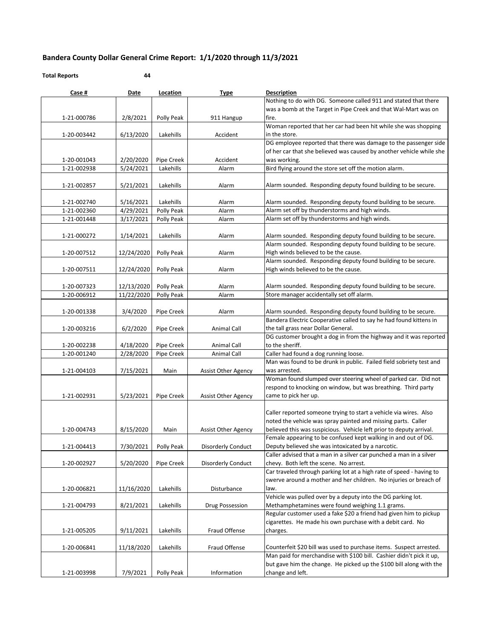## **Bandera County Dollar General Crime Report: 1/1/2020 through 11/3/2021**

## **Total Reports 44**

| Case #                     | Date                   | Location                | <b>Type</b>                | <b>Description</b>                                                                                              |
|----------------------------|------------------------|-------------------------|----------------------------|-----------------------------------------------------------------------------------------------------------------|
|                            |                        |                         |                            | Nothing to do with DG. Someone called 911 and stated that there                                                 |
|                            |                        |                         |                            | was a bomb at the Target in Pipe Creek and that Wal-Mart was on                                                 |
| 1-21-000786                | 2/8/2021               | Polly Peak              | 911 Hangup                 | fire.                                                                                                           |
|                            |                        |                         |                            | Woman reported that her car had been hit while she was shopping                                                 |
| 1-20-003442                | 6/13/2020              | Lakehills               | Accident                   | in the store.                                                                                                   |
|                            |                        |                         |                            | DG employee reported that there was damage to the passenger side                                                |
|                            |                        |                         |                            | of her car that she believed was caused by another vehicle while she                                            |
| 1-20-001043                | 2/20/2020              | Pipe Creek              | Accident                   | was working.<br>Bird flying around the store set off the motion alarm.                                          |
| 1-21-002938                | 5/24/2021              | Lakehills               | Alarm                      |                                                                                                                 |
| 1-21-002857                | 5/21/2021              | Lakehills               | Alarm                      | Alarm sounded. Responding deputy found building to be secure.                                                   |
|                            |                        |                         |                            |                                                                                                                 |
| 1-21-002740                | 5/16/2021              | Lakehills<br>Polly Peak | Alarm<br>Alarm             | Alarm sounded. Responding deputy found building to be secure.<br>Alarm set off by thunderstorms and high winds. |
| 1-21-002360<br>1-21-001448 | 4/29/2021<br>3/17/2021 | Polly Peak              | Alarm                      | Alarm set off by thunderstorms and high winds.                                                                  |
|                            |                        |                         |                            |                                                                                                                 |
| 1-21-000272                | 1/14/2021              | Lakehills               | Alarm                      | Alarm sounded. Responding deputy found building to be secure.                                                   |
|                            |                        |                         |                            | Alarm sounded. Responding deputy found building to be secure.                                                   |
| 1-20-007512                | 12/24/2020             | Polly Peak              | Alarm                      | High winds believed to be the cause.                                                                            |
|                            |                        |                         |                            | Alarm sounded. Responding deputy found building to be secure.                                                   |
| 1-20-007511                | 12/24/2020             | Polly Peak              | Alarm                      | High winds believed to be the cause.                                                                            |
|                            |                        |                         |                            |                                                                                                                 |
| 1-20-007323                | 12/13/2020             | Polly Peak              | Alarm                      | Alarm sounded. Responding deputy found building to be secure.                                                   |
| 1-20-006912                | 11/22/2020             | Polly Peak              | Alarm                      | Store manager accidentally set off alarm.                                                                       |
|                            |                        |                         |                            |                                                                                                                 |
| 1-20-001338                | 3/4/2020               | Pipe Creek              | Alarm                      | Alarm sounded. Responding deputy found building to be secure.                                                   |
|                            |                        |                         |                            | Bandera Electric Cooperative called to say he had found kittens in                                              |
| 1-20-003216                | 6/2/2020               | Pipe Creek              | Animal Call                | the tall grass near Dollar General.                                                                             |
|                            |                        |                         |                            | DG customer brought a dog in from the highway and it was reported                                               |
| 1-20-002238                | 4/18/2020              | Pipe Creek              | Animal Call                | to the sheriff.                                                                                                 |
| 1-20-001240                | 2/28/2020              | Pipe Creek              | <b>Animal Call</b>         | Caller had found a dog running loose.                                                                           |
|                            |                        |                         |                            | Man was found to be drunk in public. Failed field sobriety test and                                             |
| 1-21-004103                | 7/15/2021              | Main                    | <b>Assist Other Agency</b> | was arrested.<br>Woman found slumped over steering wheel of parked car. Did not                                 |
|                            |                        |                         |                            | respond to knocking on window, but was breathing. Third party                                                   |
| 1-21-002931                | 5/23/2021              | Pipe Creek              | Assist Other Agency        | came to pick her up.                                                                                            |
|                            |                        |                         |                            |                                                                                                                 |
|                            |                        |                         |                            | Caller reported someone trying to start a vehicle via wires. Also                                               |
|                            |                        |                         |                            | noted the vehicle was spray painted and missing parts. Caller                                                   |
| 1-20-004743                | 8/15/2020              | Main                    | Assist Other Agency        | believed this was suspicious. Vehicle left prior to deputy arrival.                                             |
|                            |                        |                         |                            | Female appearing to be confused kept walking in and out of DG.                                                  |
| 1-21-004413                | 7/30/2021              | Polly Peak              | Disorderly Conduct         | Deputy believed she was intoxicated by a narcotic.                                                              |
|                            |                        |                         |                            | Caller advised that a man in a silver car punched a man in a silver                                             |
| 1-20-002927                | 5/20/2020              | Pipe Creek              | Disorderly Conduct         | chevy. Both left the scene. No arrest.                                                                          |
|                            |                        |                         |                            | Car traveled through parking lot at a high rate of speed - having to                                            |
|                            |                        |                         |                            | swerve around a mother and her children. No injuries or breach of                                               |
| 1-20-006821                | 11/16/2020             | Lakehills               | Disturbance                | law.                                                                                                            |
|                            |                        |                         |                            | Vehicle was pulled over by a deputy into the DG parking lot.                                                    |
| 1-21-004793                | 8/21/2021              | Lakehills               | Drug Possession            | Methamphetamines were found weighing 1.1 grams.                                                                 |
|                            |                        |                         |                            | Regular customer used a fake \$20 a friend had given him to pickup                                              |
|                            |                        |                         |                            | cigarettes. He made his own purchase with a debit card. No                                                      |
| 1-21-005205                | 9/11/2021              | Lakehills               | Fraud Offense              | charges.                                                                                                        |
|                            |                        |                         |                            | Counterfeit \$20 bill was used to purchase items. Suspect arrested.                                             |
| 1-20-006841                | 11/18/2020             | Lakehills               | Fraud Offense              | Man paid for merchandise with \$100 bill. Cashier didn't pick it up,                                            |
|                            |                        |                         |                            | but gave him the change. He picked up the \$100 bill along with the                                             |
| 1-21-003998                | 7/9/2021               | Polly Peak              | Information                | change and left.                                                                                                |
|                            |                        |                         |                            |                                                                                                                 |